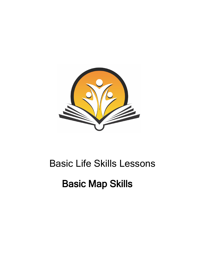

# Basic Life Skills Lessons

# Basic Map Skills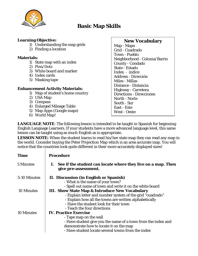

# **Basic Map Skills**

# **Learning Objective:**

- 1) Understanding the map grids
- 2) Finding a location

# **Materials:**

- 1) State map with an index
- 2) Pins/Dots
- 3) White board and marker
- 4) Index cards
- 5) Masking tape

# **Enhancement Activity Materials:**

- 1) Map of student's home country
- 2) USA Map
- 3) Compass
- 4) Enlarged Mileage Table
- 5) Map Apps (Google maps)
- 6) World Map!

# **New Vocabulary**

Map - Mapa Grid - Cuadrado Town - Pueblo Neighborhood - Colonia/Barrio County - Condado State - Estado Index - índice Address - Dirección Miles - Millas Distance - Distancia Highway - Carretera Directions - Direcciones North - Norte South - Sur East - Este West - Oeste

**LANGUAGE NOTE**: The following lesson is intended to be taught in Spanish for beginning English Language Learners. If your students have a more advanced language level, this same lesson can be taught using as much English as is appropriate.

**LESSON NOTE:** When the student learns to read his/her state map they can read any map in the world. Consider buying the Peter Projection Map which is an area accurate map. You will notice that the countries look quite different in their more accurately displayed sizes!

| <b>Time</b>       | <b>Procedure</b>                                                                           |  |
|-------------------|--------------------------------------------------------------------------------------------|--|
| 5 Minutes         | See if the student can locate where they live on a map. Then<br>I.<br>give pre-assessment. |  |
| 5-10 Minutes      | II. Discussion (in English or Spanish)                                                     |  |
|                   | - What is the name of your town?                                                           |  |
|                   | - Spell out name of town and write it on the white board                                   |  |
| <b>10 Minutes</b> | III. Show State Map & Introduce New Vocabulary                                             |  |
|                   | - Explain letter and number system of the grid "cuadrado"                                  |  |
|                   | - Explain how all the towns are written alphabetically                                     |  |
|                   | - Have the student look for their town                                                     |  |
|                   | - Teach the four directions                                                                |  |
| 10 Minutes        | <b>IV. Practice Exercise</b>                                                               |  |
|                   | - Tape map on the wall                                                                     |  |
|                   | - Have student give you the name of a town from the index and                              |  |
|                   | demonstrate how to locate it on the map                                                    |  |
|                   | - Have student locate several towns from the index                                         |  |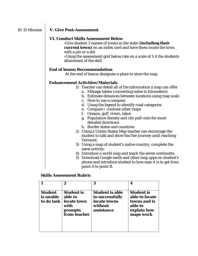# 10-15 Minutes **V. Give Post-Assessment**

## **VI. Conduct Skills Assessment Below**

**-**Give student 3 names of towns in the state (**including their current town)** on an index card and have them locate the town with a pin or a dot

**-**Using the assessment grid below rate on a scale of 1-4 the students attainment of the skill

## **End of lesson Recommendation**

At the end of lesson designate a place to store the map

# **Enhancement Activities/Materials**

- 1) Teacher can detail all of the information a map can offer
	- a. Mileage tables (converting miles to kilometers)
	- b. Estimate distances between locations using map scale
	- c. How to use a compass
	- d. Using the legend to identify road categories
	- e. Compare / contrast other maps
	- f. Oceans, gulf, rivers, lakes
	- g. Population density and city pull-outs for more detailed directions
	- h. Border states and countries
- 2) Using a Unites States Map teacher can encourage the student to talk and show his/her journey until reaching Vermont.
- 3) Using a map of student's native country, complete the same activity.
- 4) Introduce a world map and teach the seven continents.
- 5) Download Google earth and other map apps on student's phone and introduce student to how easy it is to get from point A to point B.

### **Skills Assessment Rubric**

|                                           | $\mathbf 2$                                                                    | 3                                                                                  | 4                                                                                          |
|-------------------------------------------|--------------------------------------------------------------------------------|------------------------------------------------------------------------------------|--------------------------------------------------------------------------------------------|
| <b>Student</b><br>is unable<br>to do task | <b>Student is</b><br>able to<br>locate town<br>with<br>prompts<br>from teacher | <b>Student is able</b><br>to successfully<br>locate towns<br>without<br>assistance | <b>Student is</b><br>able to locate<br>towns and is<br>able to<br>explain how<br>maps work |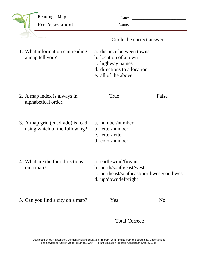| Reading a Map<br>Pre-Assessment                                   | Date:<br>Name:                                                                                                                                             |                |
|-------------------------------------------------------------------|------------------------------------------------------------------------------------------------------------------------------------------------------------|----------------|
| 1. What information can reading<br>a map tell you?                | Circle the correct answer.<br>a. distance between towns<br>b. location of a town<br>c. highway names<br>d. directions to a location<br>e. all of the above |                |
| 2. A map index is always in<br>alphabetical order.                | True                                                                                                                                                       | False          |
| 3. A map grid (cuadrado) is read<br>using which of the following? | a. number/number<br>b. letter/number<br>c. letter/letter<br>d. color/number                                                                                |                |
| 4. What are the four directions<br>on a map?                      | a. earth/wind/fire/air<br>b. north/south/east/west<br>c. northeast/southeast/northwest/southwest<br>d. up/down/left/right                                  |                |
| 5. Can you find a city on a map?                                  | Yes                                                                                                                                                        | N <sub>0</sub> |
|                                                                   | Total Correct:                                                                                                                                             |                |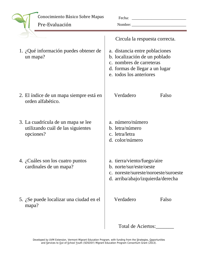|          | Conocimiento Básico Sobre Mapas<br>Pre-Evaluación                                    | Fecha:<br>Nombre:                                                                                                                                        |                                                                           |
|----------|--------------------------------------------------------------------------------------|----------------------------------------------------------------------------------------------------------------------------------------------------------|---------------------------------------------------------------------------|
|          |                                                                                      |                                                                                                                                                          | Circula la respuesta correcta.                                            |
| un mapa? | 1. ¿Qué información puedes obtener de                                                | a. distancia entre poblaciones<br>b. localización de un poblado<br>c. nombres de carreteras<br>d. formas de llegar a un lugar<br>e. todos los anteriores |                                                                           |
|          | 2. El índice de un mapa siempre está en<br>orden alfabético.                         | Verdadero                                                                                                                                                | Falso                                                                     |
|          | 3. La cuadrícula de un mapa se lee<br>utilizando cuál de las siguientes<br>opciones? | a. número/número<br>b. letra/número<br>c. letra/letra<br>d. color/número                                                                                 |                                                                           |
|          | 4. ¿Cuáles son los cuatro puntos<br>cardinales de un mapa?                           | a. tierra/viento/fuego/aire<br>b. norte/sur/este/oeste                                                                                                   | c. noreste/sureste/noroeste/suroeste<br>d. arriba/abajo/izquierda/derecha |
| mapa?    | 5. ¿Se puede localizar una ciudad en el                                              | Verdadero                                                                                                                                                | Falso                                                                     |
|          |                                                                                      | Total de Aciertos:                                                                                                                                       |                                                                           |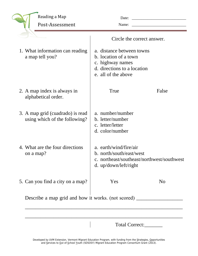| Reading a Map<br>Post-Assessment                                  | Date:<br>Name:                                                                                                               |                |
|-------------------------------------------------------------------|------------------------------------------------------------------------------------------------------------------------------|----------------|
|                                                                   | Circle the correct answer.                                                                                                   |                |
| 1. What information can reading<br>a map tell you?                | a. distance between towns<br>b. location of a town<br>c. highway names<br>d. directions to a location<br>e. all of the above |                |
| 2. A map index is always in<br>alphabetical order.                | True                                                                                                                         | False          |
| 3. A map grid (cuadrado) is read<br>using which of the following? | a. number/number<br>b. letter/number<br>c. letter/letter<br>d. color/number                                                  |                |
| 4. What are the four directions<br>on a map?                      | a. earth/wind/fire/air<br>b. north/south/east/west<br>c. northeast/southeast/northwest/southwest<br>d. up/down/left/right    |                |
| 5. Can you find a city on a map?                                  | Yes                                                                                                                          | N <sub>o</sub> |
| Describe a map grid and how it works. (not scored) __             |                                                                                                                              |                |

Total Correct:\_\_\_\_\_\_\_